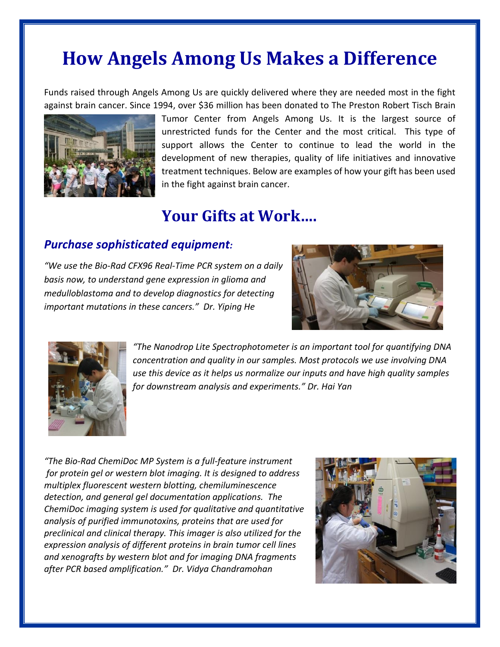# **How Angels Among Us Makes a Difference**

Funds raised through Angels Among Us are quickly delivered where they are needed most in the fight against brain cancer. Since 1994, over \$36 million has been donated to The Preston Robert Tisch Brain



Tumor Center from Angels Among Us. It is the largest source of unrestricted funds for the Center and the most critical. This type of support allows the Center to continue to lead the world in the development of new therapies, quality of life initiatives and innovative treatment techniques. Below are examples of how your gift has been used in the fight against brain cancer.

## **Your Gifts at Work….**

#### *Purchase sophisticated equipment:*

*"We use the Bio-Rad CFX96 Real-Time PCR system on a daily basis now, to understand gene expression in glioma and medulloblastoma and to develop diagnostics for detecting important mutations in these cancers." Dr. Yiping He*





*"The Nanodrop Lite Spectrophotometer is an important tool for quantifying DNA concentration and quality in our samples. Most protocols we use involving DNA use this device as it helps us normalize our inputs and have high quality samples for downstream analysis and experiments." Dr. Hai Yan*

*"The Bio-Rad ChemiDoc MP System is a full-feature instrument for protein gel or western blot imaging. It is designed to address multiplex fluorescent western blotting, chemiluminescence detection, and general gel documentation applications. The ChemiDoc imaging system is used for qualitative and quantitative analysis of purified immunotoxins, proteins that are used for preclinical and clinical therapy. This imager is also utilized for the expression analysis of different proteins in brain tumor cell lines and xenografts by western blot and for imaging DNA fragments after PCR based amplification." Dr. Vidya Chandramohan*

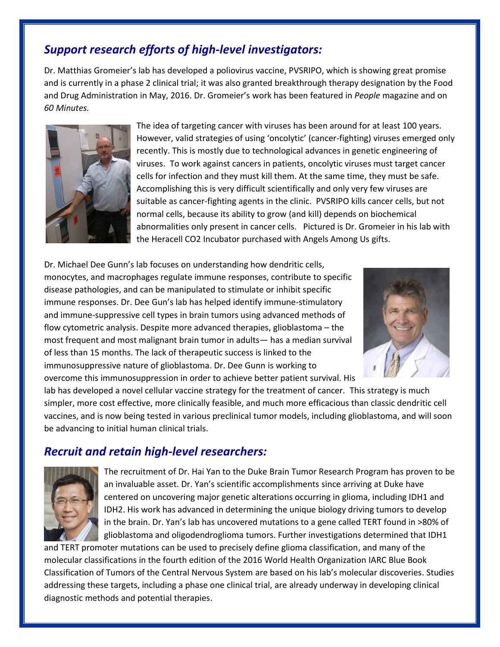### *Support research efforts of high-level investigators:*

Dr. Matthias Gromeier's lab has developed a poliovirus vaccine, PVSRIPO, which is showing great promise and is currently in a phase 2 clinical trial; it was also granted breakthrough therapy designation by the Food and Drug Administration in May, 2016. Dr. Gromeier's work has been featured in *People* magazine and on *60 Minutes.* 



The idea of targeting cancer with viruses has been around for at least 100 years. However, valid strategies of using 'oncolytic' (cancer-fighting) viruses emerged only recently. This is mostly due to technological advances in genetic engineering of viruses. To work against cancers in patients, oncolytic viruses must target cancer cells for infection and they must kill them. At the same time, they must be safe. Accomplishing this is very difficult scientifically and only very few viruses are suitable as cancer-fighting agents in the clinic. PVSRIPO kills cancer cells, but not normal cells, because its ability to grow (and kill) depends on biochemical abnormalities only present in cancer cells. Pictured is Dr. Gromeier in his lab with the Heracell CO2 Incubator purchased with Angels Among Us gifts.

Dr. Michael Dee Gunn's lab focuses on understanding how dendritic cells, monocytes, and macrophages regulate immune responses, contribute to specific disease pathologies, and can be manipulated to stimulate or inhibit specific immune responses. Dr. Dee Gun's lab has helped identify immune-stimulatory and immune-suppressive cell types in brain tumors using advanced methods of flow cytometric analysis. Despite more advanced therapies, glioblastoma – the most frequent and most malignant brain tumor in adults— has a median survival of less than 15 months. The lack of therapeutic success is linked to the immunosuppressive nature of glioblastoma. Dr. Dee Gunn is working to overcome this immunosuppression in order to achieve better patient survival. His



lab has developed a novel cellular vaccine strategy for the treatment of cancer. This strategy is much simpler, more cost effective, more clinically feasible, and much more efficacious than classic dendritic cell vaccines, and is now being tested in various preclinical tumor models, including glioblastoma, and will soon be advancing to initial human clinical trials.

#### *Recruit and retain high-level researchers:*



The recruitment of Dr. Hai Yan to the Duke Brain Tumor Research Program has proven to be an invaluable asset. Dr. Yan's scientific accomplishments since arriving at Duke have centered on uncovering major genetic alterations occurring in glioma, including IDH1 and IDH2. His work has advanced in determining the unique biology driving tumors to develop in the brain. Dr. Yan's lab has uncovered mutations to a gene called TERT found in >80% of glioblastoma and oligodendroglioma tumors. Further investigations determined that IDH1

and TERT promoter mutations can be used to precisely define glioma classification, and many of the molecular classifications in the fourth edition of the 2016 World Health Organization IARC Blue Book Classification of Tumors of the Central Nervous System are based on his lab's molecular discoveries. Studies addressing these targets, including a phase one clinical trial, are already underway in developing clinical diagnostic methods and potential therapies.